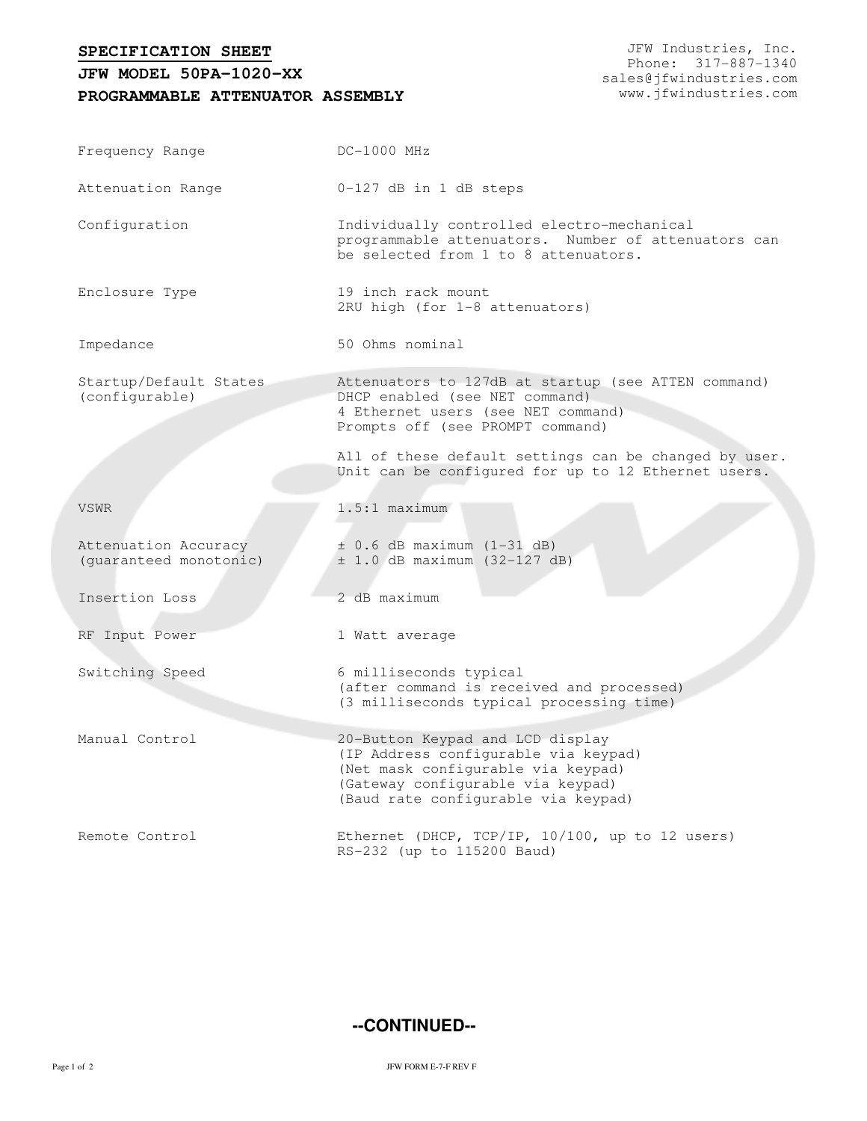**SPECIFICATION SHEET**

## **PROGRAMMABLE ATTENUATOR ASSEMBLY JFW MODEL 50PA-1020-XX**

JFW Industries, Inc. Phone: 317-887-1340 sales@jfwindustries.com www.jfwindustries.com

| Frequency Range                                | $DC-1000$ MHz                                                                                                                                                                              |  |  |
|------------------------------------------------|--------------------------------------------------------------------------------------------------------------------------------------------------------------------------------------------|--|--|
| Attenuation Range                              | $0-127$ dB in 1 dB steps                                                                                                                                                                   |  |  |
| Configuration                                  | Individually controlled electro-mechanical<br>programmable attenuators. Number of attenuators can<br>be selected from 1 to 8 attenuators.                                                  |  |  |
| Enclosure Type                                 | 19 inch rack mount<br>2RU high (for 1-8 attenuators)                                                                                                                                       |  |  |
| Impedance                                      | 50 Ohms nominal                                                                                                                                                                            |  |  |
| Startup/Default States<br>(configurable)       | Attenuators to 127dB at startup (see ATTEN command)<br>DHCP enabled (see NET command)<br>4 Ethernet users (see NET command)<br>Prompts off (see PROMPT command)                            |  |  |
|                                                | All of these default settings can be changed by user.<br>Unit can be configured for up to 12 Ethernet users.                                                                               |  |  |
| <b>VSWR</b>                                    | $1.5:1$ maximum                                                                                                                                                                            |  |  |
| Attenuation Accuracy<br>(guaranteed monotonic) | $\pm$ 0.6 dB maximum (1-31 dB)<br>$\pm$ 1.0 dB maximum (32-127 dB)                                                                                                                         |  |  |
| Insertion Loss                                 | 2 dB maximum                                                                                                                                                                               |  |  |
| RF Input Power                                 | 1 Watt average                                                                                                                                                                             |  |  |
| Switching Speed                                | 6 milliseconds typical<br>(after command is received and processed)<br>(3 milliseconds typical processing time)                                                                            |  |  |
| Manual Control                                 | 20-Button Keypad and LCD display<br>(IP Address configurable via keypad)<br>(Net mask configurable via keypad)<br>(Gateway configurable via keypad)<br>(Baud rate configurable via keypad) |  |  |
| Remote Control                                 | Ethernet (DHCP, TCP/IP, 10/100, up to 12 users)<br>RS-232 (up to 115200 Baud)                                                                                                              |  |  |

**--CONTINUED--**